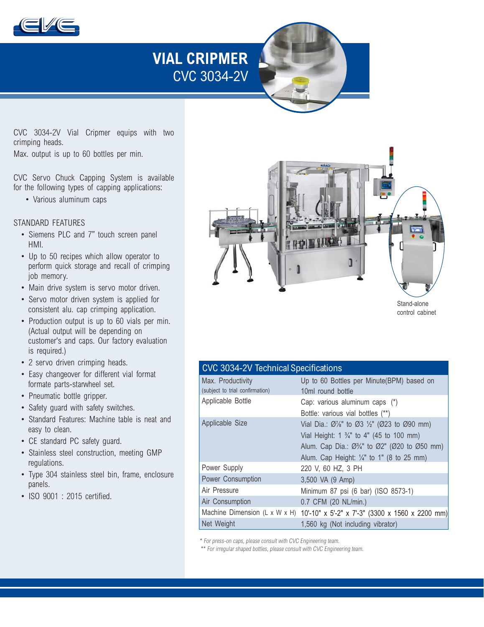

# **VIAL CRIPMER**  CVC 3034-2V

CVC 3034-2V Vial Cripmer equips with two crimping heads.

Max. output is up to 60 bottles per min.

CVC Servo Chuck Capping System is available for the following types of capping applications:

• Various aluminum caps

#### STANDARD FEATURES

- Siemens PLC and 7" touch screen panel HMI.
- Up to 50 recipes which allow operator to perform quick storage and recall of crimping job memory.
- Main drive system is servo motor driven.
- Servo motor driven system is applied for consistent alu. cap crimping application.
- Production output is up to 60 vials per min. (Actual output will be depending on customer's and caps. Our factory evaluation is required.)
- 2 servo driven crimping heads.
- Easy changeover for different vial format formate parts-starwheel set.
- Pneumatic bottle gripper.
- Safety guard with safety switches.
- Standard Features: Machine table is neat and easy to clean.
- CE standard PC safety guard.
- Stainless steel construction, meeting GMP regulations.
- Type 304 stainless steel bin, frame, enclosure panels.
- ISO 9001 : 2015 certified.



control cabinet

#### CVC 3034-2V Technical Specifications

| Max. Productivity<br>(subject to trial confirmation) | Up to 60 Bottles per Minute(BPM) based on<br>10ml round bottle                                                                                                                                                                                                               |
|------------------------------------------------------|------------------------------------------------------------------------------------------------------------------------------------------------------------------------------------------------------------------------------------------------------------------------------|
| Applicable Bottle                                    | Cap: various aluminum caps (*)<br>Bottle: various vial bottles (**)                                                                                                                                                                                                          |
| Applicable Size                                      | Vial Dia.: Ø/s" to Ø3 1/2" (Ø23 to Ø90 mm)<br>Vial Height: 1 $\frac{3}{4}$ " to 4" (45 to 100 mm)<br>Alum. Cap Dia.: $\varnothing$ <sup>3</sup> / <sub>4</sub> " to $\varnothing$ 2" ( $\varnothing$ 20 to $\varnothing$ 50 mm)<br>Alum. Cap Height: 1/4" to 1" (8 to 25 mm) |
| Power Supply                                         | 220 V, 60 HZ, 3 PH                                                                                                                                                                                                                                                           |
| Power Consumption                                    | 3,500 VA (9 Amp)                                                                                                                                                                                                                                                             |
| Air Pressure                                         | Minimum 87 psi (6 bar) (ISO 8573-1)                                                                                                                                                                                                                                          |
| Air Consumption                                      | 0.7 CFM (20 NL/min.)                                                                                                                                                                                                                                                         |
|                                                      | Machine Dimension (L x W x H) 10'-10" x 5'-2" x 7'-3" (3300 x 1560 x 2200 mm)                                                                                                                                                                                                |
| Net Weight                                           | 1,560 kg (Not including vibrator)                                                                                                                                                                                                                                            |

\* For press-on caps, please consult with CVC Engineering team.

\*\* For irregular shaped bottles, please consult with CVC Engineering team.